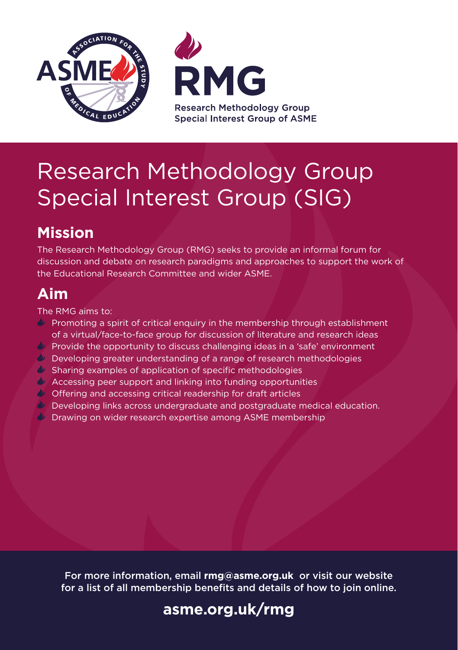



# Research Methodology Group Special Interest Group (SIG)

## **Mission**

The Research Methodology Group (RMG) seeks to provide an informal forum for discussion and debate on research paradigms and approaches to support the work of the Educational Research Committee and wider ASME.

### **Aim**

The RMG aims to:

- **Promoting a spirit of critical enquiry in the membership through establishment** of a virtual/face-to-face group for discussion of literature and research ideas
- Provide the opportunity to discuss challenging ideas in a 'safe' environment
- $\bullet$  Developing greater understanding of a range of research methodologies
- $\bullet$  Sharing examples of application of specific methodologies
- Accessing peer support and linking into funding opportunities
- Offering and accessing critical readership for draft articles
- $\psi$  Developing links across undergraduate and postgraduate medical education.
- **Drawing on wider research expertise among ASME membership**

For more information, email **rmg@asme.org.uk** or visit our website for a list of all membership benefits and details of how to join online.

### **[asme.org.uk/rmg](www.asme.org.uk/rmg)**